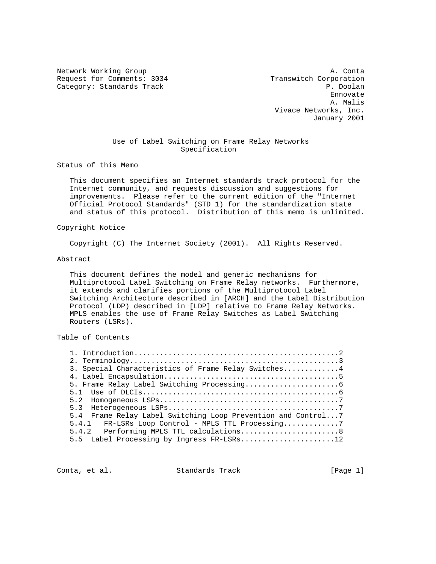Network Working Group and Alexander and Alexander and Alexander and Alexander and Alexander and Alexander and A Request for Comments: 3034 Transwitch Corporation Category: Standards Track P. Doolan

ennovate de la construcción de la construcción de la construcción de la construcción de la construcción de la construcción de la construcción de la construcción de la construcción de la construcción de la construcción de l A. Malis Vivace Networks, Inc. January 2001

# Use of Label Switching on Frame Relay Networks Specification

Status of this Memo

 This document specifies an Internet standards track protocol for the Internet community, and requests discussion and suggestions for improvements. Please refer to the current edition of the "Internet Official Protocol Standards" (STD 1) for the standardization state and status of this protocol. Distribution of this memo is unlimited.

Copyright Notice

Copyright (C) The Internet Society (2001). All Rights Reserved.

#### Abstract

 This document defines the model and generic mechanisms for Multiprotocol Label Switching on Frame Relay networks. Furthermore, it extends and clarifies portions of the Multiprotocol Label Switching Architecture described in [ARCH] and the Label Distribution Protocol (LDP) described in [LDP] relative to Frame Relay Networks. MPLS enables the use of Frame Relay Switches as Label Switching Routers (LSRs).

Table of Contents

| 3. Special Characteristics of Frame Relay Switches4             |
|-----------------------------------------------------------------|
|                                                                 |
|                                                                 |
|                                                                 |
| 5.2                                                             |
| 5.3                                                             |
| Frame Relay Label Switching Loop Prevention and Control7<br>5.4 |
| 5.4.1 FR-LSRs Loop Control - MPLS TTL Processing7               |
| 5.4.2 Performing MPLS TTL calculations8                         |
| 5.5 Label Processing by Ingress FR-LSRs12                       |

Conta, et al. Standards Track [Page 1]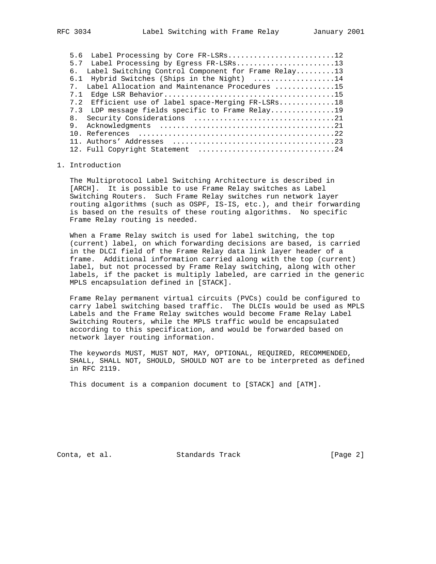|     | 5.6 Label Processing by Core FR-LSRs12              |
|-----|-----------------------------------------------------|
|     | 5.7 Label Processing by Egress FR-LSRs13            |
| б.  | Label Switching Control Component for Frame Relay13 |
|     | 6.1 Hybrid Switches (Ships in the Night) 14         |
| 7   | Label Allocation and Maintenance Procedures 15      |
| 7.1 |                                                     |
|     | 7.2 Efficient use of label space-Merging FR-LSRs18  |
|     | 7.3 LDP message fields specific to Frame Relay19    |
|     |                                                     |
|     |                                                     |
|     |                                                     |
|     |                                                     |
|     |                                                     |

## 1. Introduction

 The Multiprotocol Label Switching Architecture is described in [ARCH]. It is possible to use Frame Relay switches as Label Switching Routers. Such Frame Relay switches run network layer routing algorithms (such as OSPF, IS-IS, etc.), and their forwarding is based on the results of these routing algorithms. No specific Frame Relay routing is needed.

 When a Frame Relay switch is used for label switching, the top (current) label, on which forwarding decisions are based, is carried in the DLCI field of the Frame Relay data link layer header of a frame. Additional information carried along with the top (current) label, but not processed by Frame Relay switching, along with other labels, if the packet is multiply labeled, are carried in the generic MPLS encapsulation defined in [STACK].

 Frame Relay permanent virtual circuits (PVCs) could be configured to carry label switching based traffic. The DLCIs would be used as MPLS Labels and the Frame Relay switches would become Frame Relay Label Switching Routers, while the MPLS traffic would be encapsulated according to this specification, and would be forwarded based on network layer routing information.

 The keywords MUST, MUST NOT, MAY, OPTIONAL, REQUIRED, RECOMMENDED, SHALL, SHALL NOT, SHOULD, SHOULD NOT are to be interpreted as defined in RFC 2119.

This document is a companion document to [STACK] and [ATM].

Conta, et al. Standards Track [Page 2]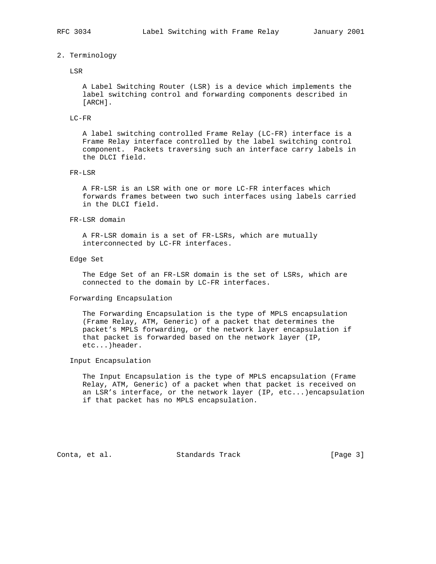#### 2. Terminology

#### LSR

 A Label Switching Router (LSR) is a device which implements the label switching control and forwarding components described in [ARCH].

### LC-FR

 A label switching controlled Frame Relay (LC-FR) interface is a Frame Relay interface controlled by the label switching control component. Packets traversing such an interface carry labels in the DLCI field.

#### FR-LSR

 A FR-LSR is an LSR with one or more LC-FR interfaces which forwards frames between two such interfaces using labels carried in the DLCI field.

#### FR-LSR domain

 A FR-LSR domain is a set of FR-LSRs, which are mutually interconnected by LC-FR interfaces.

#### Edge Set

 The Edge Set of an FR-LSR domain is the set of LSRs, which are connected to the domain by LC-FR interfaces.

#### Forwarding Encapsulation

 The Forwarding Encapsulation is the type of MPLS encapsulation (Frame Relay, ATM, Generic) of a packet that determines the packet's MPLS forwarding, or the network layer encapsulation if that packet is forwarded based on the network layer (IP, etc...)header.

## Input Encapsulation

 The Input Encapsulation is the type of MPLS encapsulation (Frame Relay, ATM, Generic) of a packet when that packet is received on an LSR's interface, or the network layer (IP, etc...)encapsulation if that packet has no MPLS encapsulation.

Conta, et al. Standards Track [Page 3]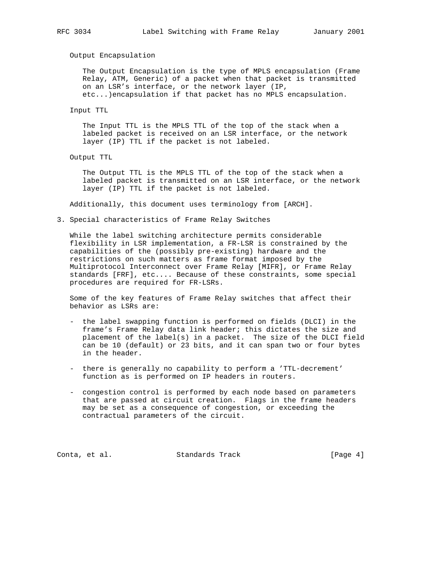#### Output Encapsulation

 The Output Encapsulation is the type of MPLS encapsulation (Frame Relay, ATM, Generic) of a packet when that packet is transmitted on an LSR's interface, or the network layer (IP, etc...)encapsulation if that packet has no MPLS encapsulation.

Input TTL

 The Input TTL is the MPLS TTL of the top of the stack when a labeled packet is received on an LSR interface, or the network layer (IP) TTL if the packet is not labeled.

Output TTL

 The Output TTL is the MPLS TTL of the top of the stack when a labeled packet is transmitted on an LSR interface, or the network layer (IP) TTL if the packet is not labeled.

Additionally, this document uses terminology from [ARCH].

3. Special characteristics of Frame Relay Switches

 While the label switching architecture permits considerable flexibility in LSR implementation, a FR-LSR is constrained by the capabilities of the (possibly pre-existing) hardware and the restrictions on such matters as frame format imposed by the Multiprotocol Interconnect over Frame Relay [MIFR], or Frame Relay standards [FRF], etc.... Because of these constraints, some special procedures are required for FR-LSRs.

 Some of the key features of Frame Relay switches that affect their behavior as LSRs are:

- the label swapping function is performed on fields (DLCI) in the frame's Frame Relay data link header; this dictates the size and placement of the label(s) in a packet. The size of the DLCI field can be 10 (default) or 23 bits, and it can span two or four bytes in the header.
- there is generally no capability to perform a 'TTL-decrement' function as is performed on IP headers in routers.
- congestion control is performed by each node based on parameters that are passed at circuit creation. Flags in the frame headers may be set as a consequence of congestion, or exceeding the contractual parameters of the circuit.

Conta, et al. Standards Track [Page 4]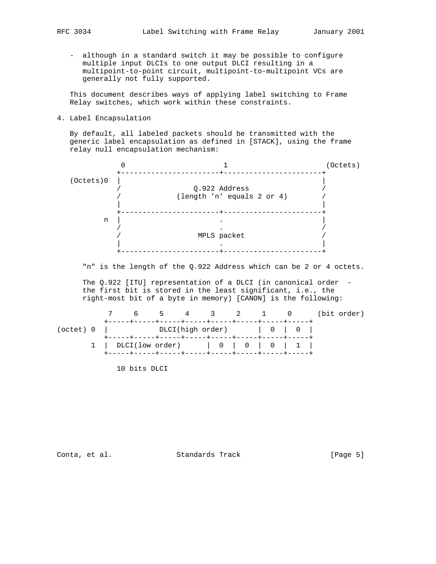- - although in a standard switch it may be possible to configure multiple input DLCIs to one output DLCI resulting in a multipoint-to-point circuit, multipoint-to-multipoint VCs are generally not fully supported.

 This document describes ways of applying label switching to Frame Relay switches, which work within these constraints.

4. Label Encapsulation

 By default, all labeled packets should be transmitted with the generic label encapsulation as defined in [STACK], using the frame relay null encapsulation mechanism:



"n" is the length of the Q.922 Address which can be 2 or 4 octets.

The Q.922 [ITU] representation of a DLCI (in canonical order the first bit is stored in the least significant, i.e., the right-most bit of a byte in memory) [CANON] is the following:

|  | 7 6 5 4 3 2 1 0 (bit order)                        |  |  |  |  |  |
|--|----------------------------------------------------|--|--|--|--|--|
|  | (octet) $0$   DLCI(high order)   $0$   $0$         |  |  |  |  |  |
|  | $1 \mid DLCI(low order) \mid 0 \mid 0 \mid 1 \mid$ |  |  |  |  |  |

10 bits DLCI

Conta, et al. Standards Track [Page 5]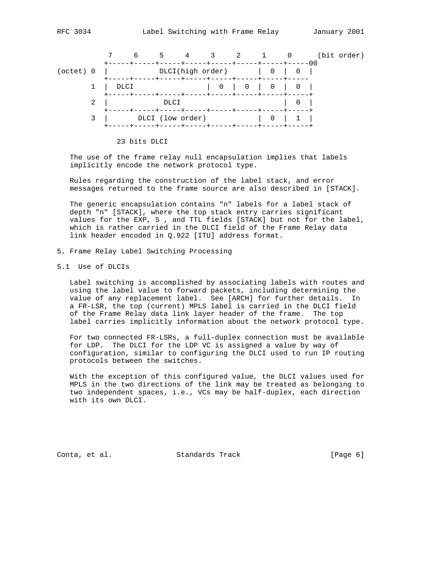

23 bits DLCI

 The use of the frame relay null encapsulation implies that labels implicitly encode the network protocol type.

 Rules regarding the construction of the label stack, and error messages returned to the frame source are also described in [STACK].

 The generic encapsulation contains "n" labels for a label stack of depth "n" [STACK], where the top stack entry carries significant values for the EXP, S , and TTL fields [STACK] but not for the label, which is rather carried in the DLCI field of the Frame Relay data link header encoded in Q.922 [ITU] address format.

- 5. Frame Relay Label Switching Processing
- 5.1 Use of DLCIs

 Label switching is accomplished by associating labels with routes and using the label value to forward packets, including determining the value of any replacement label. See [ARCH] for further details. In a FR-LSR, the top (current) MPLS label is carried in the DLCI field of the Frame Relay data link layer header of the frame. The top label carries implicitly information about the network protocol type.

 For two connected FR-LSRs, a full-duplex connection must be available for LDP. The DLCI for the LDP VC is assigned a value by way of configuration, similar to configuring the DLCI used to run IP routing protocols between the switches.

 With the exception of this configured value, the DLCI values used for MPLS in the two directions of the link may be treated as belonging to two independent spaces, i.e., VCs may be half-duplex, each direction with its own DLCI.

Conta, et al. Standards Track [Page 6]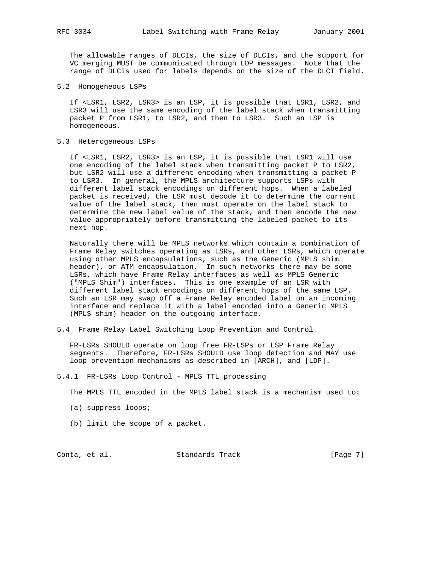The allowable ranges of DLCIs, the size of DLCIs, and the support for VC merging MUST be communicated through LDP messages. Note that the range of DLCIs used for labels depends on the size of the DLCI field.

5.2 Homogeneous LSPs

 If <LSR1, LSR2, LSR3> is an LSP, it is possible that LSR1, LSR2, and LSR3 will use the same encoding of the label stack when transmitting packet P from LSR1, to LSR2, and then to LSR3. Such an LSP is homogeneous.

5.3 Heterogeneous LSPs

 If <LSR1, LSR2, LSR3> is an LSP, it is possible that LSR1 will use one encoding of the label stack when transmitting packet P to LSR2, but LSR2 will use a different encoding when transmitting a packet P to LSR3. In general, the MPLS architecture supports LSPs with different label stack encodings on different hops. When a labeled packet is received, the LSR must decode it to determine the current value of the label stack, then must operate on the label stack to determine the new label value of the stack, and then encode the new value appropriately before transmitting the labeled packet to its next hop.

 Naturally there will be MPLS networks which contain a combination of Frame Relay switches operating as LSRs, and other LSRs, which operate using other MPLS encapsulations, such as the Generic (MPLS shim header), or ATM encapsulation. In such networks there may be some LSRs, which have Frame Relay interfaces as well as MPLS Generic ("MPLS Shim") interfaces. This is one example of an LSR with different label stack encodings on different hops of the same LSP. Such an LSR may swap off a Frame Relay encoded label on an incoming interface and replace it with a label encoded into a Generic MPLS (MPLS shim) header on the outgoing interface.

5.4 Frame Relay Label Switching Loop Prevention and Control

 FR-LSRs SHOULD operate on loop free FR-LSPs or LSP Frame Relay segments. Therefore, FR-LSRs SHOULD use loop detection and MAY use loop prevention mechanisms as described in [ARCH], and [LDP].

5.4.1 FR-LSRs Loop Control - MPLS TTL processing

The MPLS TTL encoded in the MPLS label stack is a mechanism used to:

- (a) suppress loops;
- (b) limit the scope of a packet.

Conta, et al. Standards Track [Page 7]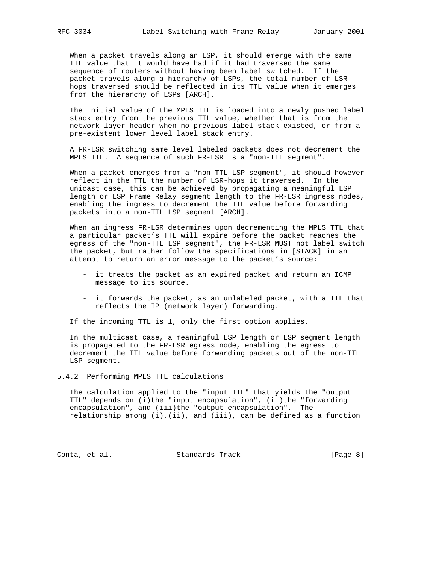When a packet travels along an LSP, it should emerge with the same TTL value that it would have had if it had traversed the same sequence of routers without having been label switched. If the packet travels along a hierarchy of LSPs, the total number of LSR hops traversed should be reflected in its TTL value when it emerges from the hierarchy of LSPs [ARCH].

 The initial value of the MPLS TTL is loaded into a newly pushed label stack entry from the previous TTL value, whether that is from the network layer header when no previous label stack existed, or from a pre-existent lower level label stack entry.

 A FR-LSR switching same level labeled packets does not decrement the MPLS TTL. A sequence of such FR-LSR is a "non-TTL segment".

When a packet emerges from a "non-TTL LSP segment", it should however reflect in the TTL the number of LSR-hops it traversed. In the unicast case, this can be achieved by propagating a meaningful LSP length or LSP Frame Relay segment length to the FR-LSR ingress nodes, enabling the ingress to decrement the TTL value before forwarding packets into a non-TTL LSP segment [ARCH].

 When an ingress FR-LSR determines upon decrementing the MPLS TTL that a particular packet's TTL will expire before the packet reaches the egress of the "non-TTL LSP segment", the FR-LSR MUST not label switch the packet, but rather follow the specifications in [STACK] in an attempt to return an error message to the packet's source:

- it treats the packet as an expired packet and return an ICMP message to its source.
- it forwards the packet, as an unlabeled packet, with a TTL that reflects the IP (network layer) forwarding.

If the incoming TTL is 1, only the first option applies.

 In the multicast case, a meaningful LSP length or LSP segment length is propagated to the FR-LSR egress node, enabling the egress to decrement the TTL value before forwarding packets out of the non-TTL LSP segment.

5.4.2 Performing MPLS TTL calculations

 The calculation applied to the "input TTL" that yields the "output TTL" depends on (i)the "input encapsulation", (ii)the "forwarding encapsulation", and (iii)the "output encapsulation". The relationship among (i),(ii), and (iii), can be defined as a function

Conta, et al. Standards Track [Page 8]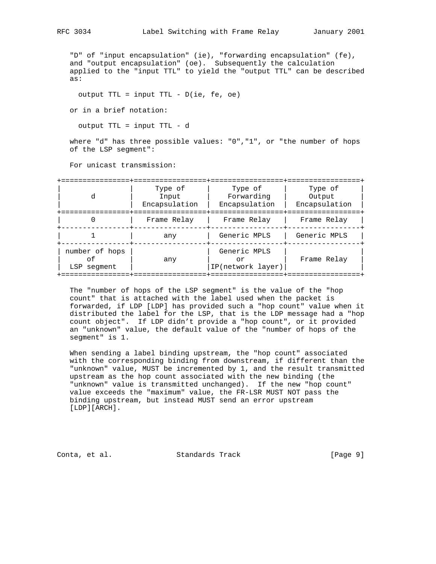"D" of "input encapsulation" (ie), "forwarding encapsulation" (fe), and "output encapsulation" (oe). Subsequently the calculation applied to the "input TTL" to yield the "output TTL" can be described as:

output TTL = input TTL - D(ie, fe, oe)

or in a brief notation:

output TTL = input TTL - d

where "d" has three possible values: "0", "1", or "the number of hops of the LSP segment":

For unicast transmission:

| d                                   | Type of<br>Input<br>Encapsulation | Type of<br>Forwarding<br>Encapsulation  | Type of<br>Output<br>Encapsulation |  |  |
|-------------------------------------|-----------------------------------|-----------------------------------------|------------------------------------|--|--|
|                                     | Frame Relay                       | Frame Relay                             | Frame Relay                        |  |  |
|                                     | any                               | Generic MPLS                            | Generic MPLS                       |  |  |
| number of hops<br>оf<br>LSP seqment | any                               | Generic MPLS<br>or<br>IP(network layer) | Frame Relay                        |  |  |

 The "number of hops of the LSP segment" is the value of the "hop count" that is attached with the label used when the packet is forwarded, if LDP [LDP] has provided such a "hop count" value when it distributed the label for the LSP, that is the LDP message had a "hop count object". If LDP didn't provide a "hop count", or it provided an "unknown" value, the default value of the "number of hops of the segment" is 1.

 When sending a label binding upstream, the "hop count" associated with the corresponding binding from downstream, if different than the "unknown" value, MUST be incremented by 1, and the result transmitted upstream as the hop count associated with the new binding (the "unknown" value is transmitted unchanged). If the new "hop count" value exceeds the "maximum" value, the FR-LSR MUST NOT pass the binding upstream, but instead MUST send an error upstream [LDP][ARCH].

Conta, et al. Standards Track [Page 9]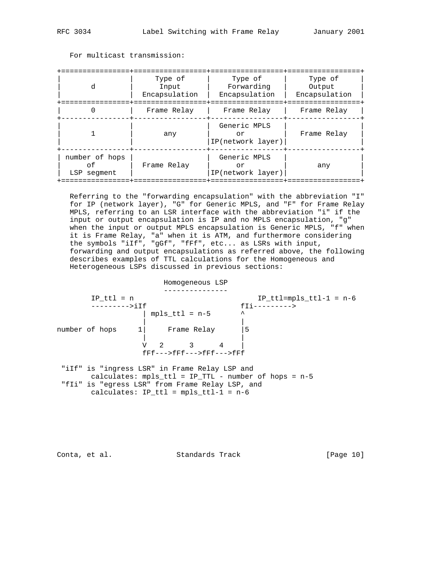| d                                   | Type of<br>Input<br>Encapsulation | Type of<br>Forwarding<br>Encapsulation  | Type of<br>Output<br>Encapsulation |  |  |
|-------------------------------------|-----------------------------------|-----------------------------------------|------------------------------------|--|--|
|                                     | Frame Relay                       | Frame Relay                             | Frame Relay                        |  |  |
|                                     | any                               | Generic MPLS<br>or<br>IP(network layer) | Frame Relay                        |  |  |
| number of hops<br>Ωf<br>LSP seqment | Frame Relay                       | Generic MPLS<br>or<br>IP(network layer) | any                                |  |  |

For multicast transmission:

 Referring to the "forwarding encapsulation" with the abbreviation "I" for IP (network layer), "G" for Generic MPLS, and "F" for Frame Relay MPLS, referring to an LSR interface with the abbreviation "i" if the input or output encapsulation is IP and no MPLS encapsulation, "g" when the input or output MPLS encapsulation is Generic MPLS, "f" when it is Frame Relay, "a" when it is ATM, and furthermore considering the symbols "iIf", "gGf", "fFf", etc... as LSRs with input, forwarding and output encapsulations as referred above, the following describes examples of TTL calculations for the Homogeneous and Heterogeneous LSPs discussed in previous sections:

 Homogeneous LSP ---------------  $IP_t$ ttl = n  $IP_t$ ttl=mpls\_ttl-1 = n-6 --------->iIf fIi---------> | mpls\_ttl = n-5  $\sim$  | | number of hops 1| Frame Relay |5 | | V 2 3 4 |  $fFF---FFF---FFF---F$ "iIf" is "ingress LSR" in Frame Relay LSP and

 calculates: mpls\_ttl = IP\_TTL - number of hops = n-5 "fIi" is "egress LSR" from Frame Relay LSP, and calculates:  $IP_ttl = mpls_ttl-1 = n-6$ 

Conta, et al. Standards Track [Page 10]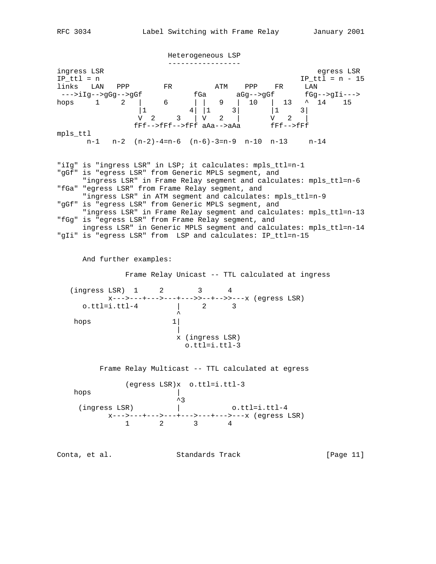Heterogeneous LSP ---------------- ingress LSR egress LSR  $IP_t$ ttl = n  $IP_t$ ttl = n - 15 links LAN PPP FR ATM PPP FR LAN --->iIg-->gGg-->gGf fGa aGg-->gGf fGg-->gIi---> hops 1 2 | 6 | | 9 | 10 | 13 ^ 14 15  $|1 \t 4| |1 \t 3| \t |1 \t 3|$  V 2 3 | V 2 | V 2 | fFf-->fFf-->fFf aAa-->aAa fFf-->fFf mpls\_ttl n-1 n-2 (n-2)-4=n-6 (n-6)-3=n-9 n-10 n-13 n-14 "iIg" is "ingress LSR" in LSP; it calculates: mpls\_ttl=n-1 "gGf" is "egress LSR" from Generic MPLS segment, and "ingress LSR" in Frame Relay segment and calculates: mpls\_ttl=n-6 "fGa" "egress LSR" from Frame Relay segment, and "ingress LSR" in ATM segment and calculates: mpls\_ttl=n-9 "gGf" is "egress LSR" from Generic MPLS segment, and "ingress LSR" in Frame Relay segment and calculates: mpls\_ttl=n-13 "fGg" is "egress LSR" from Frame Relay segment, and ingress LSR" in Generic MPLS segment and calculates: mpls\_ttl=n-14 "gIi" is "egress LSR" from LSP and calculates: IP\_ttl=n-15 And further examples: Frame Relay Unicast -- TTL calculated at ingress (ingress LSR) 1 2 3 4 x--->---+--->---+--->>--+-->>---x (egress LSR) o.ttl=i.ttl-4 | 2 3  $\mathcal{L}$  and  $\mathcal{L}$  and  $\mathcal{L}$  and  $\mathcal{L}$  and  $\mathcal{L}$ hops 1| | x (ingress LSR) o.ttl=i.ttl-3 Frame Relay Multicast -- TTL calculated at egress (egress LSR)x o.ttl=i.ttl-3 hops  $\begin{array}{c} \mid \\ \uparrow 3 \end{array}$  $\sim$ 3 (ingress LSR) | o.ttl=i.ttl-4 x--->---+--->---+--->---+--->---x (egress LSR) 1 2 3 4 Conta, et al. Standards Track [Page 11]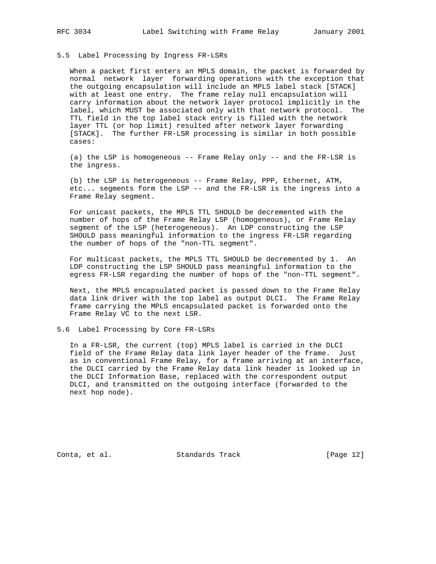#### 5.5 Label Processing by Ingress FR-LSRs

 When a packet first enters an MPLS domain, the packet is forwarded by normal network layer forwarding operations with the exception that the outgoing encapsulation will include an MPLS label stack [STACK] with at least one entry. The frame relay null encapsulation will carry information about the network layer protocol implicitly in the label, which MUST be associated only with that network protocol. The TTL field in the top label stack entry is filled with the network layer TTL (or hop limit) resulted after network layer forwarding [STACK]. The further FR-LSR processing is similar in both possible cases:

 (a) the LSP is homogeneous -- Frame Relay only -- and the FR-LSR is the ingress.

 (b) the LSP is heterogeneous -- Frame Relay, PPP, Ethernet, ATM, etc... segments form the LSP -- and the FR-LSR is the ingress into a Frame Relay segment.

 For unicast packets, the MPLS TTL SHOULD be decremented with the number of hops of the Frame Relay LSP (homogeneous), or Frame Relay segment of the LSP (heterogeneous). An LDP constructing the LSP SHOULD pass meaningful information to the ingress FR-LSR regarding the number of hops of the "non-TTL segment".

 For multicast packets, the MPLS TTL SHOULD be decremented by 1. An LDP constructing the LSP SHOULD pass meaningful information to the egress FR-LSR regarding the number of hops of the "non-TTL segment".

 Next, the MPLS encapsulated packet is passed down to the Frame Relay data link driver with the top label as output DLCI. The Frame Relay frame carrying the MPLS encapsulated packet is forwarded onto the Frame Relay VC to the next LSR.

## 5.6 Label Processing by Core FR-LSRs

 In a FR-LSR, the current (top) MPLS label is carried in the DLCI field of the Frame Relay data link layer header of the frame. Just as in conventional Frame Relay, for a frame arriving at an interface, the DLCI carried by the Frame Relay data link header is looked up in the DLCI Information Base, replaced with the correspondent output DLCI, and transmitted on the outgoing interface (forwarded to the next hop node).

Conta, et al. Standards Track [Page 12]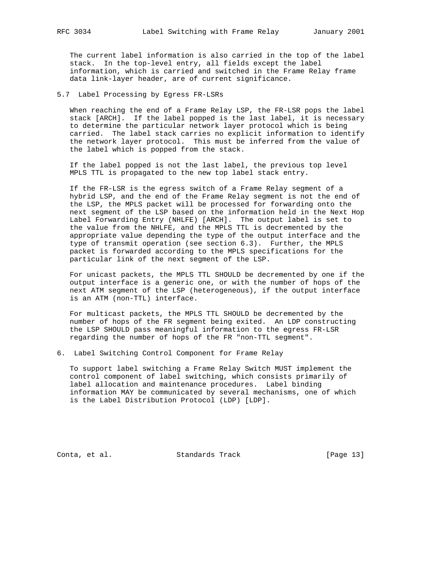The current label information is also carried in the top of the label stack. In the top-level entry, all fields except the label information, which is carried and switched in the Frame Relay frame data link-layer header, are of current significance.

5.7 Label Processing by Egress FR-LSRs

 When reaching the end of a Frame Relay LSP, the FR-LSR pops the label stack [ARCH]. If the label popped is the last label, it is necessary to determine the particular network layer protocol which is being carried. The label stack carries no explicit information to identify the network layer protocol. This must be inferred from the value of the label which is popped from the stack.

 If the label popped is not the last label, the previous top level MPLS TTL is propagated to the new top label stack entry.

 If the FR-LSR is the egress switch of a Frame Relay segment of a hybrid LSP, and the end of the Frame Relay segment is not the end of the LSP, the MPLS packet will be processed for forwarding onto the next segment of the LSP based on the information held in the Next Hop Label Forwarding Entry (NHLFE) [ARCH]. The output label is set to the value from the NHLFE, and the MPLS TTL is decremented by the appropriate value depending the type of the output interface and the type of transmit operation (see section 6.3). Further, the MPLS packet is forwarded according to the MPLS specifications for the particular link of the next segment of the LSP.

 For unicast packets, the MPLS TTL SHOULD be decremented by one if the output interface is a generic one, or with the number of hops of the next ATM segment of the LSP (heterogeneous), if the output interface is an ATM (non-TTL) interface.

 For multicast packets, the MPLS TTL SHOULD be decremented by the number of hops of the FR segment being exited. An LDP constructing the LSP SHOULD pass meaningful information to the egress FR-LSR regarding the number of hops of the FR "non-TTL segment".

6. Label Switching Control Component for Frame Relay

 To support label switching a Frame Relay Switch MUST implement the control component of label switching, which consists primarily of label allocation and maintenance procedures. Label binding information MAY be communicated by several mechanisms, one of which is the Label Distribution Protocol (LDP) [LDP].

Conta, et al. Standards Track [Page 13]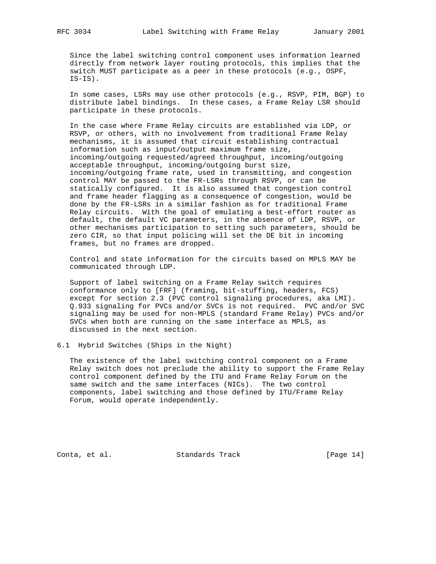Since the label switching control component uses information learned directly from network layer routing protocols, this implies that the switch MUST participate as a peer in these protocols (e.g., OSPF, IS-IS).

 In some cases, LSRs may use other protocols (e.g., RSVP, PIM, BGP) to distribute label bindings. In these cases, a Frame Relay LSR should participate in these protocols.

 In the case where Frame Relay circuits are established via LDP, or RSVP, or others, with no involvement from traditional Frame Relay mechanisms, it is assumed that circuit establishing contractual information such as input/output maximum frame size, incoming/outgoing requested/agreed throughput, incoming/outgoing acceptable throughput, incoming/outgoing burst size, incoming/outgoing frame rate, used in transmitting, and congestion control MAY be passed to the FR-LSRs through RSVP, or can be statically configured. It is also assumed that congestion control and frame header flagging as a consequence of congestion, would be done by the FR-LSRs in a similar fashion as for traditional Frame Relay circuits. With the goal of emulating a best-effort router as default, the default VC parameters, in the absence of LDP, RSVP, or other mechanisms participation to setting such parameters, should be zero CIR, so that input policing will set the DE bit in incoming frames, but no frames are dropped.

 Control and state information for the circuits based on MPLS MAY be communicated through LDP.

 Support of label switching on a Frame Relay switch requires conformance only to [FRF] (framing, bit-stuffing, headers, FCS) except for section 2.3 (PVC control signaling procedures, aka LMI). Q.933 signaling for PVCs and/or SVCs is not required. PVC and/or SVC signaling may be used for non-MPLS (standard Frame Relay) PVCs and/or SVCs when both are running on the same interface as MPLS, as discussed in the next section.

6.1 Hybrid Switches (Ships in the Night)

 The existence of the label switching control component on a Frame Relay switch does not preclude the ability to support the Frame Relay control component defined by the ITU and Frame Relay Forum on the same switch and the same interfaces (NICs). The two control components, label switching and those defined by ITU/Frame Relay Forum, would operate independently.

Conta, et al. Standards Track [Page 14]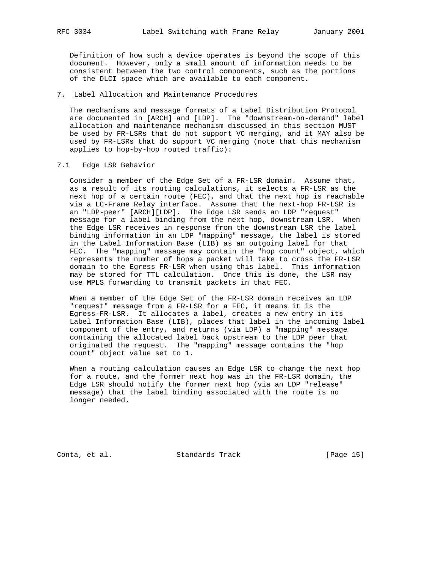Definition of how such a device operates is beyond the scope of this document. However, only a small amount of information needs to be consistent between the two control components, such as the portions of the DLCI space which are available to each component.

#### 7. Label Allocation and Maintenance Procedures

 The mechanisms and message formats of a Label Distribution Protocol are documented in [ARCH] and [LDP]. The "downstream-on-demand" label allocation and maintenance mechanism discussed in this section MUST be used by FR-LSRs that do not support VC merging, and it MAY also be used by FR-LSRs that do support VC merging (note that this mechanism applies to hop-by-hop routed traffic):

## 7.1 Edge LSR Behavior

 Consider a member of the Edge Set of a FR-LSR domain. Assume that, as a result of its routing calculations, it selects a FR-LSR as the next hop of a certain route (FEC), and that the next hop is reachable via a LC-Frame Relay interface. Assume that the next-hop FR-LSR is an "LDP-peer" [ARCH][LDP]. The Edge LSR sends an LDP "request" message for a label binding from the next hop, downstream LSR. When the Edge LSR receives in response from the downstream LSR the label binding information in an LDP "mapping" message, the label is stored in the Label Information Base (LIB) as an outgoing label for that FEC. The "mapping" message may contain the "hop count" object, which represents the number of hops a packet will take to cross the FR-LSR domain to the Egress FR-LSR when using this label. This information may be stored for TTL calculation. Once this is done, the LSR may use MPLS forwarding to transmit packets in that FEC.

 When a member of the Edge Set of the FR-LSR domain receives an LDP "request" message from a FR-LSR for a FEC, it means it is the Egress-FR-LSR. It allocates a label, creates a new entry in its Label Information Base (LIB), places that label in the incoming label component of the entry, and returns (via LDP) a "mapping" message containing the allocated label back upstream to the LDP peer that originated the request. The "mapping" message contains the "hop count" object value set to 1.

 When a routing calculation causes an Edge LSR to change the next hop for a route, and the former next hop was in the FR-LSR domain, the Edge LSR should notify the former next hop (via an LDP "release" message) that the label binding associated with the route is no longer needed.

Conta, et al. Standards Track [Page 15]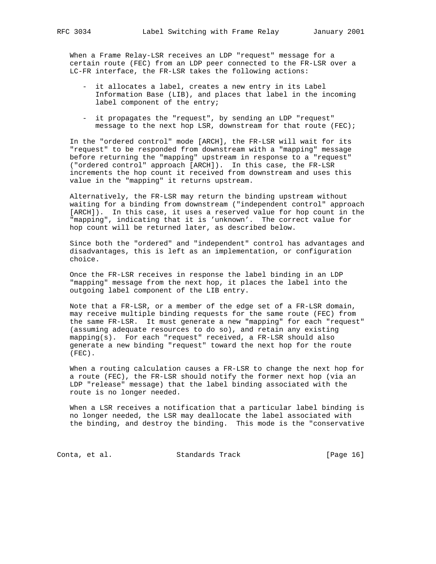When a Frame Relay-LSR receives an LDP "request" message for a certain route (FEC) from an LDP peer connected to the FR-LSR over a LC-FR interface, the FR-LSR takes the following actions:

- it allocates a label, creates a new entry in its Label Information Base (LIB), and places that label in the incoming label component of the entry;
- it propagates the "request", by sending an LDP "request" message to the next hop LSR, downstream for that route (FEC);

 In the "ordered control" mode [ARCH], the FR-LSR will wait for its "request" to be responded from downstream with a "mapping" message before returning the "mapping" upstream in response to a "request" ("ordered control" approach [ARCH]). In this case, the FR-LSR increments the hop count it received from downstream and uses this value in the "mapping" it returns upstream.

 Alternatively, the FR-LSR may return the binding upstream without waiting for a binding from downstream ("independent control" approach [ARCH]). In this case, it uses a reserved value for hop count in the "mapping", indicating that it is 'unknown'. The correct value for hop count will be returned later, as described below.

 Since both the "ordered" and "independent" control has advantages and disadvantages, this is left as an implementation, or configuration choice.

 Once the FR-LSR receives in response the label binding in an LDP "mapping" message from the next hop, it places the label into the outgoing label component of the LIB entry.

 Note that a FR-LSR, or a member of the edge set of a FR-LSR domain, may receive multiple binding requests for the same route (FEC) from the same FR-LSR. It must generate a new "mapping" for each "request" (assuming adequate resources to do so), and retain any existing mapping(s). For each "request" received, a FR-LSR should also generate a new binding "request" toward the next hop for the route (FEC).

 When a routing calculation causes a FR-LSR to change the next hop for a route (FEC), the FR-LSR should notify the former next hop (via an LDP "release" message) that the label binding associated with the route is no longer needed.

 When a LSR receives a notification that a particular label binding is no longer needed, the LSR may deallocate the label associated with the binding, and destroy the binding. This mode is the "conservative

Conta, et al. Standards Track [Page 16]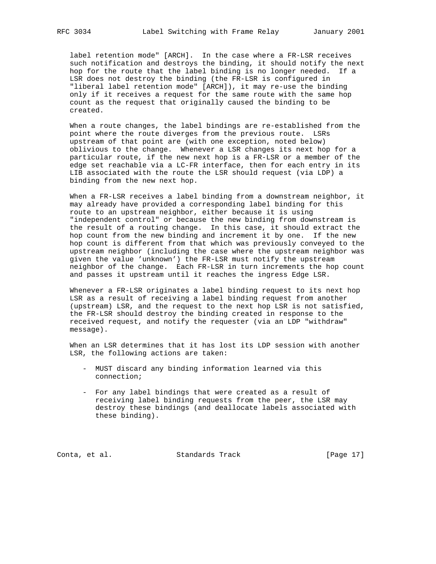label retention mode" [ARCH]. In the case where a FR-LSR receives such notification and destroys the binding, it should notify the next hop for the route that the label binding is no longer needed. If a LSR does not destroy the binding (the FR-LSR is configured in "liberal label retention mode" [ARCH]), it may re-use the binding only if it receives a request for the same route with the same hop count as the request that originally caused the binding to be created.

 When a route changes, the label bindings are re-established from the point where the route diverges from the previous route. LSRs upstream of that point are (with one exception, noted below) oblivious to the change. Whenever a LSR changes its next hop for a particular route, if the new next hop is a FR-LSR or a member of the edge set reachable via a LC-FR interface, then for each entry in its LIB associated with the route the LSR should request (via LDP) a binding from the new next hop.

 When a FR-LSR receives a label binding from a downstream neighbor, it may already have provided a corresponding label binding for this route to an upstream neighbor, either because it is using "independent control" or because the new binding from downstream is the result of a routing change. In this case, it should extract the hop count from the new binding and increment it by one. If the new hop count is different from that which was previously conveyed to the upstream neighbor (including the case where the upstream neighbor was given the value 'unknown') the FR-LSR must notify the upstream neighbor of the change. Each FR-LSR in turn increments the hop count and passes it upstream until it reaches the ingress Edge LSR.

 Whenever a FR-LSR originates a label binding request to its next hop LSR as a result of receiving a label binding request from another (upstream) LSR, and the request to the next hop LSR is not satisfied, the FR-LSR should destroy the binding created in response to the received request, and notify the requester (via an LDP "withdraw" message).

 When an LSR determines that it has lost its LDP session with another LSR, the following actions are taken:

- MUST discard any binding information learned via this connection;
- For any label bindings that were created as a result of receiving label binding requests from the peer, the LSR may destroy these bindings (and deallocate labels associated with these binding).

Conta, et al. Standards Track [Page 17]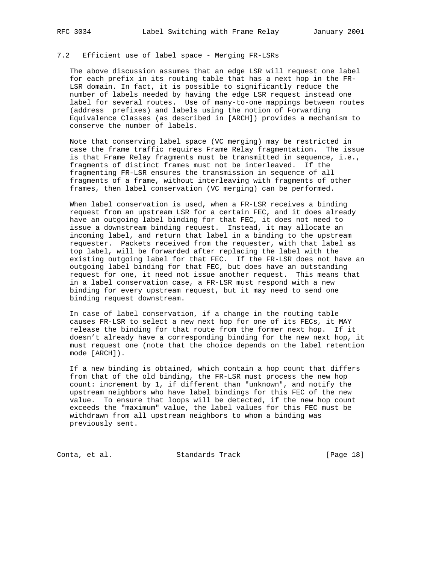# 7.2 Efficient use of label space - Merging FR-LSRs

 The above discussion assumes that an edge LSR will request one label for each prefix in its routing table that has a next hop in the FR- LSR domain. In fact, it is possible to significantly reduce the number of labels needed by having the edge LSR request instead one label for several routes. Use of many-to-one mappings between routes (address prefixes) and labels using the notion of Forwarding Equivalence Classes (as described in [ARCH]) provides a mechanism to conserve the number of labels.

 Note that conserving label space (VC merging) may be restricted in case the frame traffic requires Frame Relay fragmentation. The issue is that Frame Relay fragments must be transmitted in sequence, i.e., fragments of distinct frames must not be interleaved. If the fragmenting FR-LSR ensures the transmission in sequence of all fragments of a frame, without interleaving with fragments of other frames, then label conservation (VC merging) can be performed.

 When label conservation is used, when a FR-LSR receives a binding request from an upstream LSR for a certain FEC, and it does already have an outgoing label binding for that FEC, it does not need to issue a downstream binding request. Instead, it may allocate an incoming label, and return that label in a binding to the upstream requester. Packets received from the requester, with that label as top label, will be forwarded after replacing the label with the existing outgoing label for that FEC. If the FR-LSR does not have an outgoing label binding for that FEC, but does have an outstanding request for one, it need not issue another request. This means that in a label conservation case, a FR-LSR must respond with a new binding for every upstream request, but it may need to send one binding request downstream.

 In case of label conservation, if a change in the routing table causes FR-LSR to select a new next hop for one of its FECs, it MAY release the binding for that route from the former next hop. If it doesn't already have a corresponding binding for the new next hop, it must request one (note that the choice depends on the label retention mode [ARCH]).

 If a new binding is obtained, which contain a hop count that differs from that of the old binding, the FR-LSR must process the new hop count: increment by 1, if different than "unknown", and notify the upstream neighbors who have label bindings for this FEC of the new value. To ensure that loops will be detected, if the new hop count exceeds the "maximum" value, the label values for this FEC must be withdrawn from all upstream neighbors to whom a binding was previously sent.

Conta, et al. Standards Track [Page 18]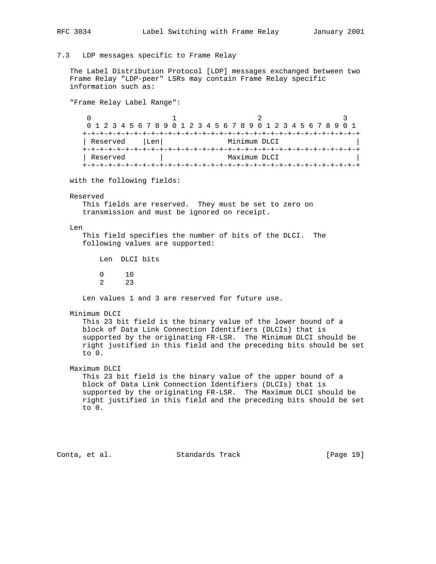7.3 LDP messages specific to Frame Relay

 The Label Distribution Protocol [LDP] messages exchanged between two Frame Relay "LDP-peer" LSRs may contain Frame Relay specific information such as:

"Frame Relay Label Range":

0  $1$  2 3 0 1 2 3 4 5 6 7 8 9 0 1 2 3 4 5 6 7 8 9 0 1 2 3 4 5 6 7 8 9 0 1 +-+-+-+-+-+-+-+-+-+-+-+-+-+-+-+-+-+-+-+-+-+-+-+-+-+-+-+-+-+-+-+-+ | Reserved | Len| Minimum DLCI +-+-+-+-+-+-+-+-+-+-+-+-+-+-+-+-+-+-+-+-+-+-+-+-+-+-+-+-+-+-+-+-+ | Reserved | Maximum DLCI +-+-+-+-+-+-+-+-+-+-+-+-+-+-+-+-+-+-+-+-+-+-+-+-+-+-+-+-+-+-+-+-+

with the following fields:

#### Reserved

 This fields are reserved. They must be set to zero on transmission and must be ignored on receipt.

#### Len

 This field specifies the number of bits of the DLCI. The following values are supported:

Len DLCI bits

0 10

2 23

Len values 1 and 3 are reserved for future use.

#### Minimum DLCI

 This 23 bit field is the binary value of the lower bound of a block of Data Link Connection Identifiers (DLCIs) that is supported by the originating FR-LSR. The Minimum DLCI should be right justified in this field and the preceding bits should be set to 0.

## Maximum DLCI

 This 23 bit field is the binary value of the upper bound of a block of Data Link Connection Identifiers (DLCIs) that is supported by the originating FR-LSR. The Maximum DLCI should be right justified in this field and the preceding bits should be set to 0.

Conta, et al. Standards Track [Page 19]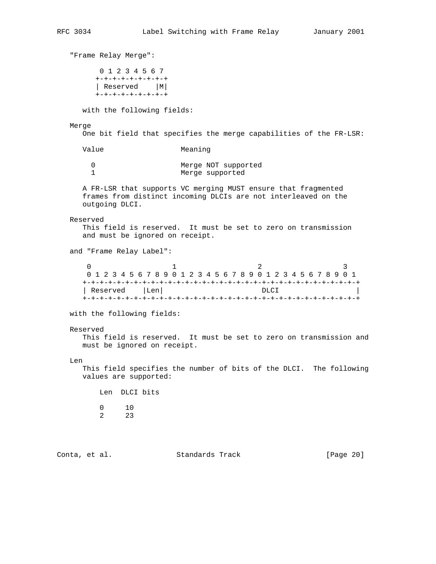"Frame Relay Merge": 0 1 2 3 4 5 6 7 +-+-+-+-+-+-+-+-+ | Reserved |M| +-+-+-+-+-+-+-+-+ with the following fields: Merge One bit field that specifies the merge capabilities of the FR-LSR: Value Meaning 0 Merge NOT supported 1 Merge supported A FR-LSR that supports VC merging MUST ensure that fragmented frames from distinct incoming DLCIs are not interleaved on the outgoing DLCI. Reserved This field is reserved. It must be set to zero on transmission and must be ignored on receipt. and "Frame Relay Label":  $0$  1 2 3 0 1 2 3 4 5 6 7 8 9 0 1 2 3 4 5 6 7 8 9 0 1 2 3 4 5 6 7 8 9 0 1 +-+-+-+-+-+-+-+-+-+-+-+-+-+-+-+-+-+-+-+-+-+-+-+-+-+-+-+-+-+-+-+-+ | Reserved |Len| DLCI | +-+-+-+-+-+-+-+-+-+-+-+-+-+-+-+-+-+-+-+-+-+-+-+-+-+-+-+-+-+-+-+-+ with the following fields: Reserved This field is reserved. It must be set to zero on transmission and must be ignored on receipt. Len This field specifies the number of bits of the DLCI. The following values are supported: Len DLCI bits  $\begin{array}{ccc} 0 & \quad & 10 \\ 2 & \quad & 23 \end{array}$ 2 Conta, et al. Standards Track [Page 20]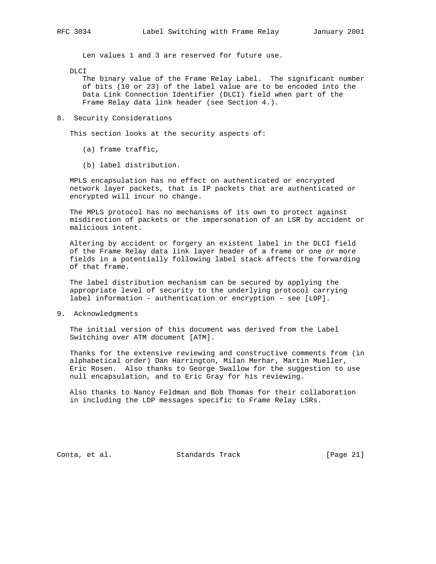Len values 1 and 3 are reserved for future use.

DLCI

 The binary value of the Frame Relay Label. The significant number of bits (10 or 23) of the label value are to be encoded into the Data Link Connection Identifier (DLCI) field when part of the Frame Relay data link header (see Section 4.).

8. Security Considerations

This section looks at the security aspects of:

- (a) frame traffic,
- (b) label distribution.

 MPLS encapsulation has no effect on authenticated or encrypted network layer packets, that is IP packets that are authenticated or encrypted will incur no change.

 The MPLS protocol has no mechanisms of its own to protect against misdirection of packets or the impersonation of an LSR by accident or malicious intent.

 Altering by accident or forgery an existent label in the DLCI field of the Frame Relay data link layer header of a frame or one or more fields in a potentially following label stack affects the forwarding of that frame.

 The label distribution mechanism can be secured by applying the appropriate level of security to the underlying protocol carrying label information - authentication or encryption - see [LDP].

9. Acknowledgments

 The initial version of this document was derived from the Label Switching over ATM document [ATM].

 Thanks for the extensive reviewing and constructive comments from (in alphabetical order) Dan Harrington, Milan Merhar, Martin Mueller, Eric Rosen. Also thanks to George Swallow for the suggestion to use null encapsulation, and to Eric Gray for his reviewing.

 Also thanks to Nancy Feldman and Bob Thomas for their collaboration in including the LDP messages specific to Frame Relay LSRs.

Conta, et al. Standards Track [Page 21]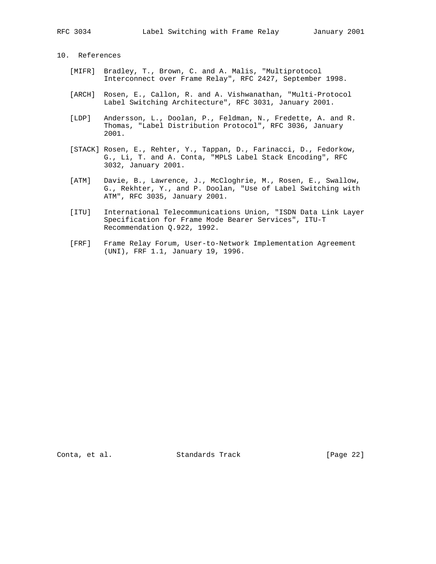# 10. References

- [MIFR] Bradley, T., Brown, C. and A. Malis, "Multiprotocol Interconnect over Frame Relay", RFC 2427, September 1998.
- [ARCH] Rosen, E., Callon, R. and A. Vishwanathan, "Multi-Protocol Label Switching Architecture", RFC 3031, January 2001.
- [LDP] Andersson, L., Doolan, P., Feldman, N., Fredette, A. and R. Thomas, "Label Distribution Protocol", RFC 3036, January 2001.
- [STACK] Rosen, E., Rehter, Y., Tappan, D., Farinacci, D., Fedorkow, G., Li, T. and A. Conta, "MPLS Label Stack Encoding", RFC 3032, January 2001.
- [ATM] Davie, B., Lawrence, J., McCloghrie, M., Rosen, E., Swallow, G., Rekhter, Y., and P. Doolan, "Use of Label Switching with ATM", RFC 3035, January 2001.
- [ITU] International Telecommunications Union, "ISDN Data Link Layer Specification for Frame Mode Bearer Services", ITU-T Recommendation Q.922, 1992.
- [FRF] Frame Relay Forum, User-to-Network Implementation Agreement (UNI), FRF 1.1, January 19, 1996.

Conta, et al. Standards Track [Page 22]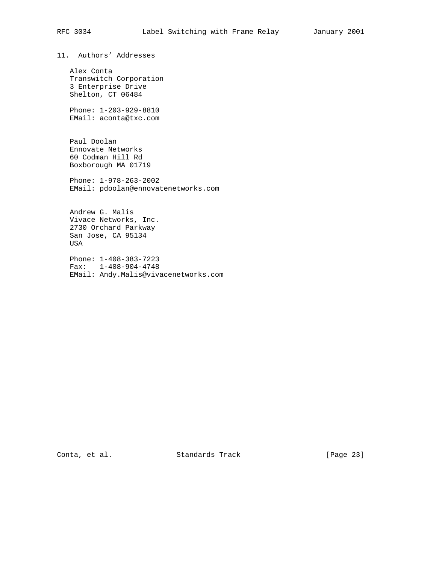11. Authors' Addresses

 Alex Conta Transwitch Corporation 3 Enterprise Drive Shelton, CT 06484

 Phone: 1-203-929-8810 EMail: aconta@txc.com

 Paul Doolan Ennovate Networks 60 Codman Hill Rd Boxborough MA 01719

 Phone: 1-978-263-2002 EMail: pdoolan@ennovatenetworks.com

 Andrew G. Malis Vivace Networks, Inc. 2730 Orchard Parkway San Jose, CA 95134 USA

 Phone: 1-408-383-7223 Fax: 1-408-904-4748 EMail: Andy.Malis@vivacenetworks.com

Conta, et al. Standards Track [Page 23]